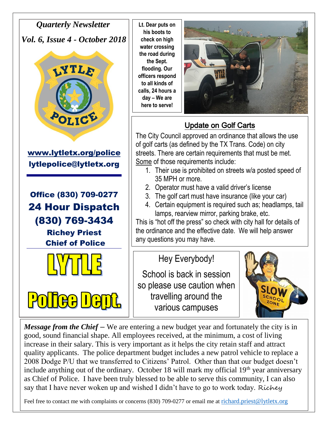*Quarterly Newsletter Vol. 6, Issue 4 - October 2018*



[www.lytletx.org/police](http://www.lytletx.org/police)  lytlepolice@lytletx.org

Office (830) 709-0277 24 Hour Dispatch (830) 769-3434

> Richey Priest Chief of Police



 $\mathbf{H}$ 

**Lt. Dear puts on his boots to check on high water crossing the road during the Sept. flooding. Our officers respond to all kinds of calls, 24 hours a day – We are here to serve!**



## Update on Golf Carts

The City Council approved an ordinance that allows the use of golf carts (as defined by the TX Trans. Code) on city streets. There are certain requirements that must be met. Some of those requirements include:

- 1. Their use is prohibited on streets w/a posted speed of 35 MPH or more.
- 2. Operator must have a valid driver's license
- 3. The golf cart must have insurance (like your car)
- 4. Certain equipment is required such as; headlamps, tail lamps, rearview mirror, parking brake, etc.

This is "hot off the press" so check with city hall for details of the ordinance and the effective date. We will help answer any questions you may have.

## Hey Everybody!

School is back in session so please use caution when travelling around the various campuses



*Message from the Chief* – We are entering a new budget year and fortunately the city is in good, sound financial shape. All employees received, at the minimum, a cost of living increase in their salary. This is very important as it helps the city retain staff and attract quality applicants. The police department budget includes a new patrol vehicle to replace a 2008 Dodge P/U that we transferred to Citizens' Patrol. Other than that our budget doesn't include anything out of the ordinary. October 18 will mark my official  $19<sup>th</sup>$  year anniversary as Chief of Police. I have been truly blessed to be able to serve this community, I can also say that I have never woken up and wished I didn't have to go to work today. Richey

Feel free to contact me with complaints or concerns (830) 709-0277 or email me at [richard.priest@lytletx.org](mailto:richard.priest@lytletx.org)